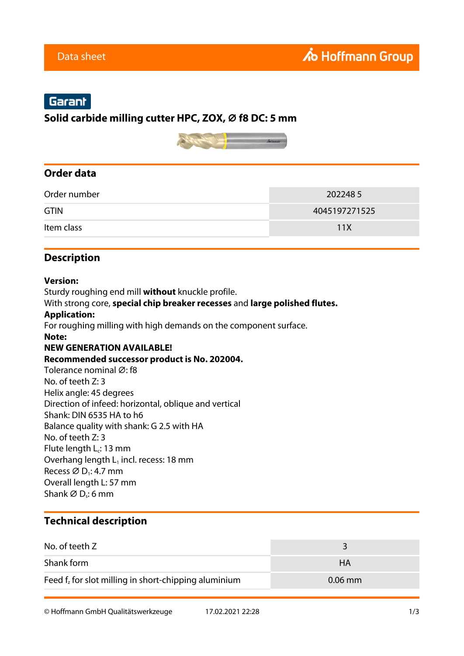# Garant

### **Solid carbide milling cutter HPC, ZOX, ⌀ f8 DC: 5 mm**



## **Order data**

| Order number | 2022485       |
|--------------|---------------|
| <b>GTIN</b>  | 4045197271525 |
| Item class   | 11X           |

## **Description**

#### **Version:**

Sturdy roughing end mill **without** knuckle profile.

With strong core, **special chip breaker recesses** and **large polished flutes.**

#### **Application:**

For roughing milling with high demands on the component surface.

#### **Note:**

### **NEW GENERATION AVAILABLE!**

#### **Recommended successor product is No. 202004.**

Tolerance nominal Ø: f8 No. of teeth Z: 3 Helix angle: 45 degrees Direction of infeed: horizontal, oblique and vertical Shank: DIN 6535 HA to h6 Balance quality with shank: G 2.5 with HA No. of teeth Z: 3 Flute length  $L_c$ : 13 mm Overhang length  $L_1$  incl. recess: 18 mm Recess  $\varnothing$  D<sub>1</sub>: 4.7 mm Overall length L: 57 mm Shank  $\varnothing$  D<sub>s</sub>: 6 mm

### **Technical description**

| No. of teeth Z                                          |           |
|---------------------------------------------------------|-----------|
| Shank form                                              | HА        |
| Feed $f_z$ for slot milling in short-chipping aluminium | $0.06$ mm |

© Hoffmann GmbH Qualitätswerkzeuge 17.02.2021 22:28 1/3